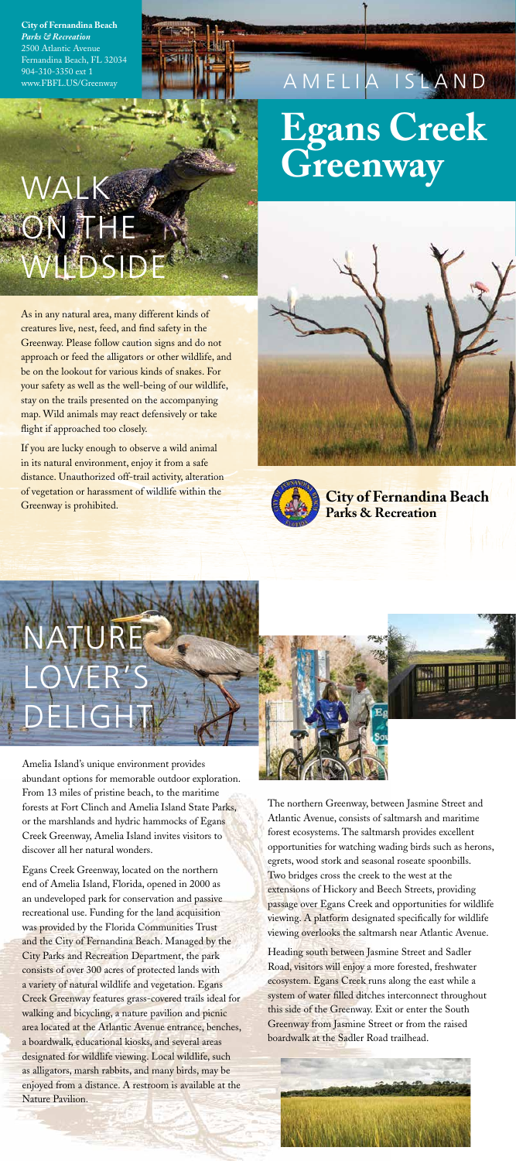Amelia Island's unique environment provides abundant options for memorable outdoor exploration. From 13 miles of pristine beach, to the maritime forests at Fort Clinch and Amelia Island State Parks, or the marshlands and hydric hammocks of Egans Creek Greenway, Amelia Island invites visitors to discover all her natural wonders.



Egans Creek Greenway, located on the northern end of Amelia Island, Florida, opened in 2000 as an undeveloped park for conservation and passive recreational use. Funding for the land acquisition was provided by the Florida Communities Trust and the City of Fernandina Beach. Managed by the City Parks and Recreation Department, the park consists of over 300 acres of protected lands with a variety of natural wildlife and vegetation. Egans Creek Greenway features grass-covered trails ideal for walking and bicycling, a nature pavilion and picnic area located at the Atlantic Avenue entrance, benches, a boardwalk, educational kiosks, and several areas designated for wildlife viewing. Local wildlife, such as alligators, marsh rabbits, and many birds, may be enjoyed from a distance. A restroom is available at the Nature Pavilion.

As in any natural area, many different kinds of creatures live, nest, feed, and find safety in the Greenway. Please follow caution signs and do not approach or feed the alligators or other wildlife, and be on the lookout for various kinds of snakes. For your safety as well as the well-being of our wildlife, stay on the trails presented on the accompanying map. Wild animals may react defensively or take flight if approached too closely.

**City of Fernandina Beach**  *Parks & Recreation*  2500 Atlantic Avenue Fernandina Beach, FL 32034 904-310-3350 ext 1 www.FBFL.US/Greenway

The northern Greenway, between Jasmine Street and

# NATURE LOVER'S DELIGH

Atlantic Avenue, consists of saltmarsh and maritime forest ecosystems. The saltmarsh provides excellent opportunities for watching wading birds such as herons, egrets, wood stork and seasonal roseate spoonbills. Two bridges cross the creek to the west at the extensions of Hickory and Beech Streets, providing passage over Egans Creek and opportunities for wildlife viewing. A platform designated specifically for wildlife viewing overlooks the saltmarsh near Atlantic Avenue.

Heading south between Jasmine Street and Sadler Road, visitors will enjoy a more forested, freshwater ecosystem. Egans Creek runs along the east while a system of water filled ditches interconnect throughout this side of the Greenway. Exit or enter the South Greenway from Jasmine Street or from the raised boardwalk at the Sadler Road trailhead.



If you are lucky enough to observe a wild animal in its natural environment, enjoy it from a safe distance. Unauthorized off-trail activity, alteration of vegetation or harassment of wildlife within the Greenway is prohibited.



WALK

## **Egans Creek Greenway** AMELIA ISLAND

# ON THE WIL

**City of Fernandina Beach Parks & Recreation**